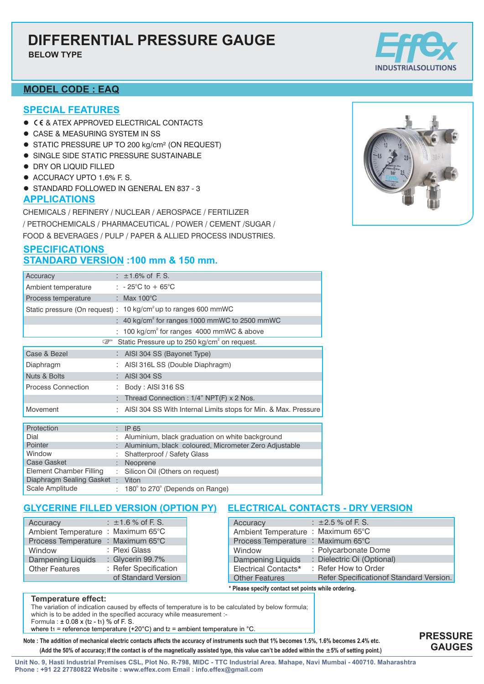**BELOW TYPE**

# **MODEL CODE : EAQ**

### **SPECIAL FEATURES**

- **CE & ATEX APPROVED ELECTRICAL CONTACTS**
- **CASE & MEASURING SYSTEM IN SS**
- STATIC PRESSURE UP TO 200 kg/cm<sup>2</sup> (ON REQUEST)
- **.** SINGLE SIDE STATIC PRESSURE SUSTAINABLE
- **DRY OR LIQUID FILLED**
- ACCURACY UPTO 1.6% F. S.
- **.** STANDARD FOLLOWED IN GENERAL EN 837 3

# **APPLICATIONS**

CHEMICALS / REFINERY / NUCLEAR / AEROSPACE / FERTILIZER / PETROCHEMICALS /PHARMACEUTICAL / POWER / CEMENT /SUGAR / FOOD & BEVERAGES /PULP / PAPER & ALLIED PROCESS INDUSTRIES.

# **SPECIFICATIONS STANDARD VERSION :100 mm & 150 mm.**

| Accuracy                                                                 |   | : $\pm 1.6\%$ of F.S.                                                      |  |  |  |  |
|--------------------------------------------------------------------------|---|----------------------------------------------------------------------------|--|--|--|--|
| Ambient temperature                                                      |   | : $-25^{\circ}$ C to $+65^{\circ}$ C                                       |  |  |  |  |
| Process temperature                                                      |   | : Max $100^{\circ}$ C                                                      |  |  |  |  |
|                                                                          |   | Static pressure (On request) : 10 kg/cm <sup>2</sup> up to ranges 600 mmWC |  |  |  |  |
|                                                                          |   | : 40 kg/cm <sup>2</sup> for ranges 1000 mmWC to 2500 mmWC                  |  |  |  |  |
|                                                                          |   | 100 kg/cm <sup>2</sup> for ranges 4000 mmWC & above                        |  |  |  |  |
| Static Pressure up to 250 kg/cm <sup>2</sup> on request.<br>$\mathbb{F}$ |   |                                                                            |  |  |  |  |
| Case & Bezel                                                             |   | : AISI 304 SS (Bayonet Type)                                               |  |  |  |  |
| Diaphragm                                                                |   | AISI 316L SS (Double Diaphragm)                                            |  |  |  |  |
| <b>Nuts &amp; Bolts</b>                                                  |   | : AISI 304 SS                                                              |  |  |  |  |
| <b>Process Connection</b>                                                |   | Body: AISI 316 SS                                                          |  |  |  |  |
|                                                                          |   | Thread Connection : 1/4" NPT(F) x 2 Nos.                                   |  |  |  |  |
| Movement                                                                 |   | AISI 304 SS With Internal Limits stops for Min. & Max. Pressure            |  |  |  |  |
|                                                                          |   |                                                                            |  |  |  |  |
| Protection                                                               |   | IP 65                                                                      |  |  |  |  |
| Dial                                                                     |   | Aluminium, black graduation on white background                            |  |  |  |  |
| Pointer                                                                  |   | Aluminium, black coloured, Micrometer Zero Adjustable                      |  |  |  |  |
| Window                                                                   |   | Shatterproof / Safety Glass                                                |  |  |  |  |
| Case Gasket                                                              |   | Neoprene                                                                   |  |  |  |  |
| Element Chamber Filling                                                  | ÷ | Silicon Oil (Others on request)                                            |  |  |  |  |
| Diaphragm Sealing Gasket :                                               |   | Viton                                                                      |  |  |  |  |
| Scale Amplitude                                                          |   | 180° to 270° (Depends on Range)                                            |  |  |  |  |

# **GLYCERINE FILLED VERSION (OPTION PY) ELECTRICAL CONTACTS - DRY VERSION**

| Accuracy                 |  | : $\pm 1.6$ % of F. S.   |
|--------------------------|--|--------------------------|
| Ambient Temperature      |  | : Maximum $65^{\circ}$ C |
| Process Temperature      |  | : Maximum $65^{\circ}$ C |
| Window                   |  | : Plexi Glass            |
| <b>Dampening Liquids</b> |  | : Glycerin 99.7%         |
| <b>Other Features</b>    |  | : Refer Specification    |
|                          |  | of Standard Version      |

| Accuracy                                            | : $\pm 2.5$ % of F. S.                  |  |  |  |  |  |
|-----------------------------------------------------|-----------------------------------------|--|--|--|--|--|
| Ambient Temperature : Maximum 65°C                  |                                         |  |  |  |  |  |
| Process Temperature : Maximum 65°C                  |                                         |  |  |  |  |  |
| Window                                              | : Polycarbonate Dome                    |  |  |  |  |  |
| <b>Dampening Liquids</b>                            | : Dielectric Oi (Optional)              |  |  |  |  |  |
| Electrical Contacts*                                | : Refer How to Order                    |  |  |  |  |  |
| <b>Other Features</b>                               | Refer Specificationof Standard Version. |  |  |  |  |  |
| * Please specify contact set points while ordering. |                                         |  |  |  |  |  |

#### **Temperature effect:**

The variation of indication caused by effects of temperature is to be calculated by below formula; which is to be added in the specified accuracy while measurement :-Formula :  $\pm 0.08$  x (t2 - t1) % of F. S.

where t<sub>1</sub> = reference temperature (+20 $^{\circ}$ C) and t<sub>2</sub> = ambient temperature in  $^{\circ}$ C.

**Note : The addition of mechanical electric contacts affects the accuracy of instruments such that 1% becomes 1.5%, 1.6% becomes 2.4% etc. (Add the 50% of accuracy; If the contact is of the magnetically assisted type, this value can't be added within the ±5% of setting point.)** 





**Unit No. 9, Hasti Industrial Premises CSL, Plot No. R-798, MIDC - TTC Industrial Area. Mahape, Navi Mumbai - 400710. Maharashtra Phone : +91 22 27780822 Website : www.effex.com Email : info.effex@gmail.com**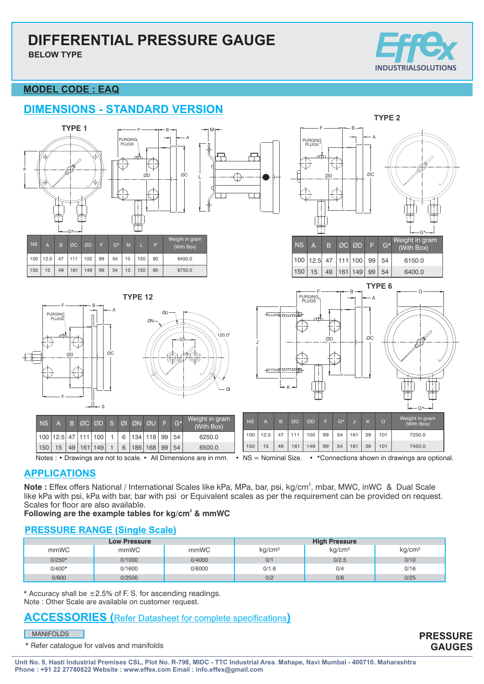**BELOW TYPE**



# **MODEL CODE : EAQ**

# **DIMENSIONS - STANDARD VERSION**



Notes : **•** Drawings are not to scale. **•** All Dimensions are in mm. **•** NS = Nominal Size. **•** \*Connections shown in drawings are optional.

# **APPLICATIONS**

Note : Effex offers National / International Scales like kPa, MPa, bar, psi, kg/cm<sup>2</sup>, mbar, MWC, inWC & Dual Scale like kPa with psi, kPa with bar, bar with psi or Equivalent scales as per the requirement can be provided on request. Scales for floor are also available.

### Following are the example tables for kg/cm<sup>2</sup> & mmWC

# **PRESSURE RANGE (Single Scale)**

|          | <b>Low Pressure</b> |        | <b>High Pressure</b> |                    |                    |  |
|----------|---------------------|--------|----------------------|--------------------|--------------------|--|
| mmWC     | mmWC                | mmWC   | kg/cm <sup>2</sup>   | kg/cm <sup>2</sup> | kg/cm <sup>2</sup> |  |
| $0/250*$ | 0/1000              | 0/4000 | 0/1                  | 0/2.5              | 0/10               |  |
| $0/400*$ | 0/1600              | 0/6000 | 0/1.6                | 0/4                | 0/16               |  |
| 0/600    | 0/2500              |        | 0/2                  | 0/6                | 0/25               |  |

Note : Other Scale are available on customer request.  $*$  Accuracy shall be  $\pm 2.5\%$  of F. S. for ascending readings.

# **ACCESSORIES (**Refer Datasheet for complete specifications**)**

#### MANIFOLDS

\* Refer catalogue for valves and manifolds

**PRESSURE GAUGES**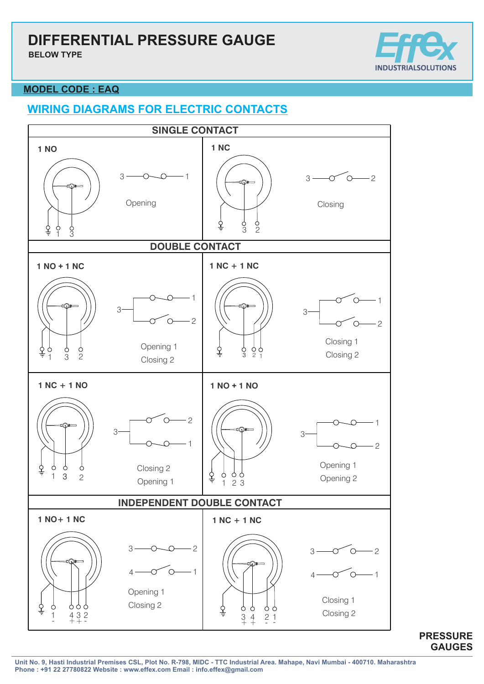**BELOW TYPE**



### **MODEL CODE : EAQ**

# **WIRING DIAGRAMS FOR ELECTRIC CONTACTS**



**PRESSURE GAUGES**